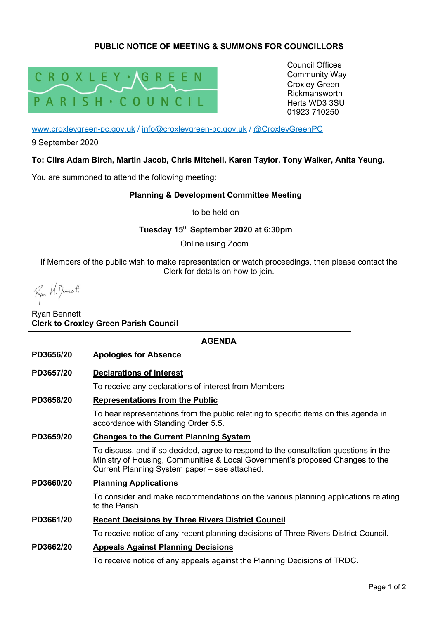## **PUBLIC NOTICE OF MEETING & SUMMONS FOR COUNCILLORS**



Council Offices Community Way Croxley Green Rickmansworth Herts WD3 3SU 01923 710250

www.croxleygreen-pc.gov.uk / info@croxleygreen-pc.gov.uk / @CroxleyGreenPC

9 September 2020

### **To: Cllrs Adam Birch, Martin Jacob, Chris Mitchell, Karen Taylor, Tony Walker, Anita Yeung.**

You are summoned to attend the following meeting:

#### **Planning & Development Committee Meeting**

to be held on

#### **Tuesday 15th September 2020 at 6:30pm**

Online using Zoom.

If Members of the public wish to make representation or watch proceedings, then please contact the Clerk for details on how to join.

Fyor H. Benett

### Ryan Bennett **Clerk to Croxley Green Parish Council**

#### **AGENDA**

- **PD3656/20 Apologies for Absence**
- **PD3657/20 Declarations of Interest**

To receive any declarations of interest from Members

## **PD3658/20 Representations from the Public**

To hear representations from the public relating to specific items on this agenda in accordance with Standing Order 5.5.

#### **PD3659/20 Changes to the Current Planning System**

To discuss, and if so decided, agree to respond to the consultation questions in the Ministry of Housing, Communities & Local Government's proposed Changes to the Current Planning System paper – see attached.

#### **PD3660/20 Planning Applications**

To consider and make recommendations on the various planning applications relating to the Parish.

#### **PD3661/20 Recent Decisions by Three Rivers District Council**

To receive notice of any recent planning decisions of Three Rivers District Council.

#### **PD3662/20 Appeals Against Planning Decisions**

To receive notice of any appeals against the Planning Decisions of TRDC.